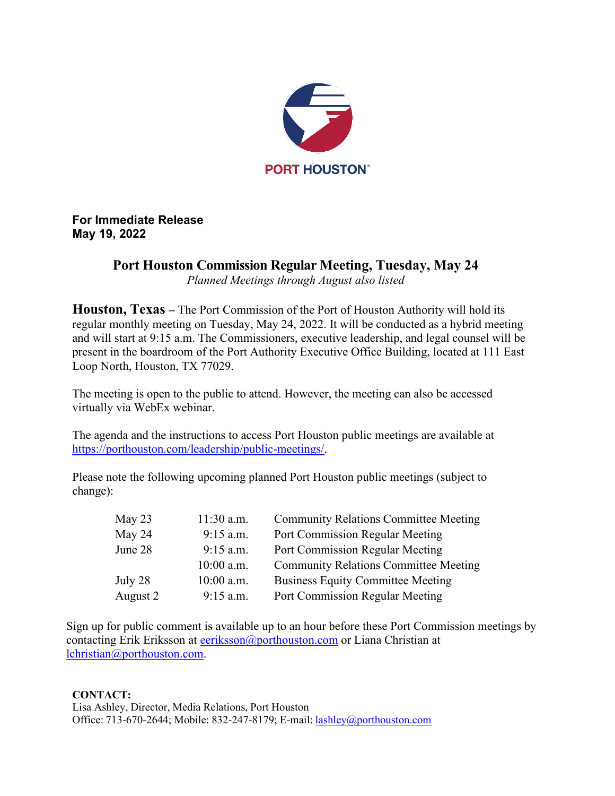

**For Immediate Release May 19, 2022**

## **Port Houston Commission Regular Meeting, Tuesday, May 24**

*Planned Meetings through August also listed*

**Houston, Texas –** The Port Commission of the Port of Houston Authority will hold its regular monthly meeting on Tuesday, May 24, 2022. It will be conducted as a hybrid meeting and will start at 9:15 a.m. The Commissioners, executive leadership, and legal counsel will be present in the boardroom of the Port Authority Executive Office Building, located at 111 East Loop North, Houston, TX 77029.

The meeting is open to the public to attend. However, the meeting can also be accessed virtually via WebEx webinar.

The agenda and the instructions to access Port Houston public meetings are available at [https://porthouston.com/leadership/public-meetings/.](https://porthouston.com/leadership/public-meetings/)

Please note the following upcoming planned Port Houston public meetings (subject to change):

| May $23$ | $11:30$ a.m. | <b>Community Relations Committee Meeting</b> |
|----------|--------------|----------------------------------------------|
| May 24   | $9:15$ a.m.  | Port Commission Regular Meeting              |
| June 28  | $9:15$ a.m.  | Port Commission Regular Meeting              |
|          | $10:00$ a.m. | <b>Community Relations Committee Meeting</b> |
| July 28  | $10:00$ a.m. | <b>Business Equity Committee Meeting</b>     |
| August 2 | $9:15$ a.m.  | Port Commission Regular Meeting              |

Sign up for public comment is available up to an hour before these Port Commission meetings by contacting Erik Eriksson at [eeriksson@porthouston.com](mailto:eeriksson@porthouston.com) or Liana Christian at [lchristian@porthouston.com.](mailto:lchristian@porthouston.com)

**CONTACT:** Lisa Ashley, Director, Media Relations, Port Houston Office: 713-670-2644; Mobile: 832-247-8179; E-mail: [lashley@porthouston.com](mailto:lashley@porthouston.com)